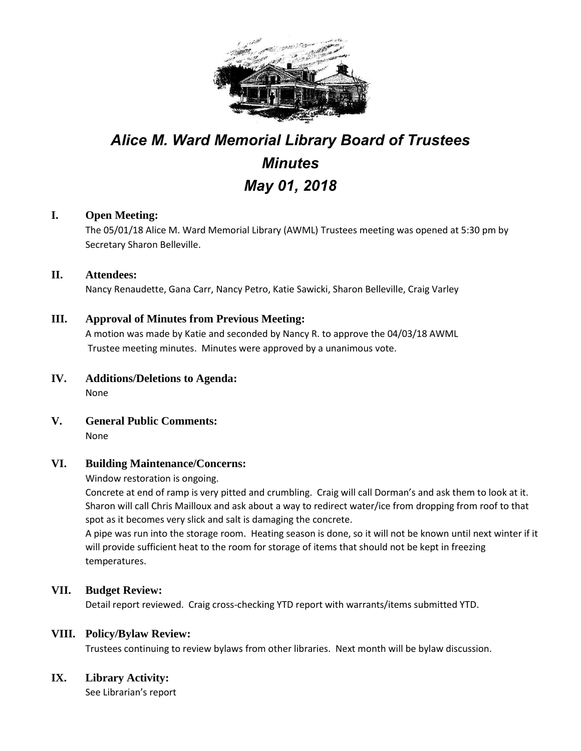

# *Alice M. Ward Memorial Library Board of Trustees Minutes May 01, 2018*

# **I. Open Meeting:**

The 05/01/18 Alice M. Ward Memorial Library (AWML) Trustees meeting was opened at 5:30 pm by Secretary Sharon Belleville.

## **II. Attendees:**

Nancy Renaudette, Gana Carr, Nancy Petro, Katie Sawicki, Sharon Belleville, Craig Varley

## **III. Approval of Minutes from Previous Meeting:**

A motion was made by Katie and seconded by Nancy R. to approve the 04/03/18 AWML Trustee meeting minutes. Minutes were approved by a unanimous vote.

- **IV. Additions/Deletions to Agenda:** None
- **V. General Public Comments:** None

## **VI. Building Maintenance/Concerns:**

Window restoration is ongoing.

Concrete at end of ramp is very pitted and crumbling. Craig will call Dorman's and ask them to look at it. Sharon will call Chris Mailloux and ask about a way to redirect water/ice from dropping from roof to that spot as it becomes very slick and salt is damaging the concrete.

A pipe was run into the storage room. Heating season is done, so it will not be known until next winter if it will provide sufficient heat to the room for storage of items that should not be kept in freezing temperatures.

## **VII. Budget Review:**

Detail report reviewed. Craig cross-checking YTD report with warrants/items submitted YTD.

#### **VIII. Policy/Bylaw Review:**

Trustees continuing to review bylaws from other libraries. Next month will be bylaw discussion.

## **IX. Library Activity:**

See Librarian's report